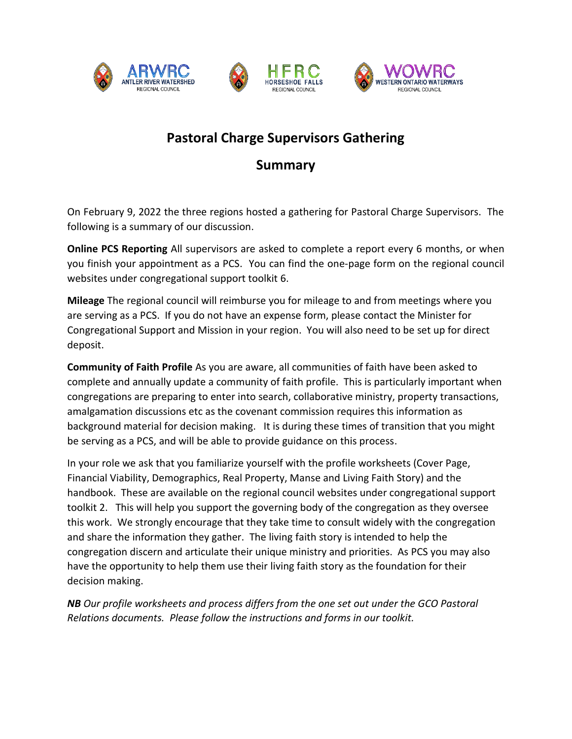





## **Pastoral Charge Supervisors Gathering**

## **Summary**

On February 9, 2022 the three regions hosted a gathering for Pastoral Charge Supervisors. The following is a summary of our discussion.

**Online PCS Reporting** All supervisors are asked to complete a report every 6 months, or when you finish your appointment as a PCS. You can find the one-page form on the regional council websites under congregational support toolkit 6.

**Mileage** The regional council will reimburse you for mileage to and from meetings where you are serving as a PCS. If you do not have an expense form, please contact the Minister for Congregational Support and Mission in your region. You will also need to be set up for direct deposit.

**Community of Faith Profile** As you are aware, all communities of faith have been asked to complete and annually update a community of faith profile. This is particularly important when congregations are preparing to enter into search, collaborative ministry, property transactions, amalgamation discussions etc as the covenant commission requires this information as background material for decision making. It is during these times of transition that you might be serving as a PCS, and will be able to provide guidance on this process.

In your role we ask that you familiarize yourself with the profile worksheets (Cover Page, Financial Viability, Demographics, Real Property, Manse and Living Faith Story) and the handbook. These are available on the regional council websites under congregational support toolkit 2. This will help you support the governing body of the congregation as they oversee this work. We strongly encourage that they take time to consult widely with the congregation and share the information they gather. The living faith story is intended to help the congregation discern and articulate their unique ministry and priorities. As PCS you may also have the opportunity to help them use their living faith story as the foundation for their decision making.

*NB Our profile worksheets and process differs from the one set out under the GCO Pastoral Relations documents. Please follow the instructions and forms in our toolkit.*